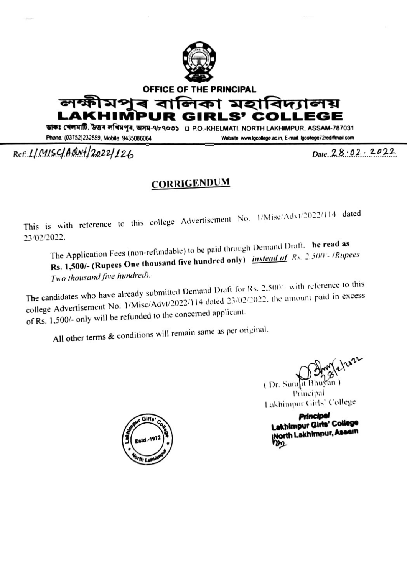

OFFICE OF THE PRINCIPAL

মপৰ বালিকা মহাবিদ্যালয় GE IMPL RLS'

ডাকঃ খেলমাটি, উত্তৰ লখিমপুৰ, অসম-৭৮৭০৩১ y P.O.-KHELMATI, NORTH LAKHIMPUR, ASSAM-787031

Phone: (03752)232859, Mobile: 9435086064

Website: www.lgcollege.ac.in, E-mail.lgcollege72rediffmail.com

Date 28.02.2022

## Ref. 1/ MISC/ARN+ 2022/126

## **CORRIGENDUM**

This is with reference to this college Advertisement No. 1/Misc/Advt/2022/114 dated 23/02/2022.

The Application Fees (non-refundable) to be paid through Demand Draft. be read as Rs. 1,500/- (Rupees One thousand five hundred only) *instead of Rs. 2.500 - (Rupees* Two thousand five hundred).

The candidates who have already submitted Demand Draft for Rs. 2.500/- with reference to this college Advertisement No. 1/Misc/Advt/2022/114 dated 23/02/2022, the amount paid in excess of Rs. 1,500/- only will be refunded to the concerned applicant.

All other terms & conditions will remain same as per original.

(Dr. Sura Principal Lakhimpur Girls' College

**Principal** Lakhimpur Girls' College North Lakhimpur, Assem m